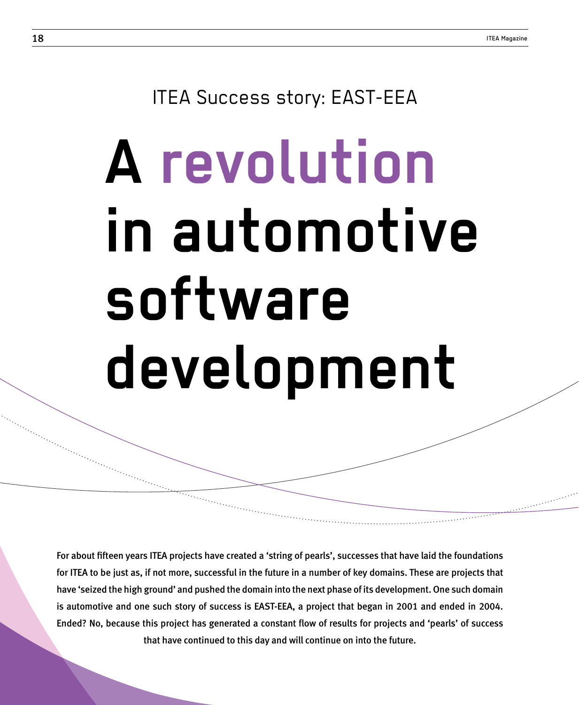# ITEA Success story: EAST-EEA

# **A revolution in automotive software development**

For about fifteen years ITEA projects have created a 'string of pearls', successes that have laid the foundations for ITEA to be just as, if not more, successful in the future in a number of key domains. These are projects that have 'seized the high ground' and pushed the domain into the next phase of its development. One such domain is automotive and one such story of success is EAST-EEA, a project that began in 2001 and ended in 2004. Ended? No, because this project has generated a constant flow of results for projects and 'pearls' of success that have continued to this day and will continue on into the future.

Xxxxx xx xxxxx Xxx xxxxxx xx xxxxx xaxxxx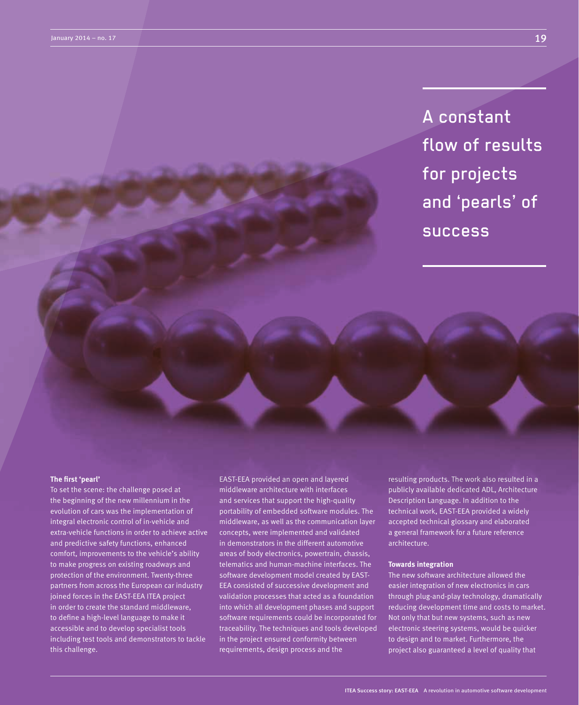A constant flow of results for projects and 'pearls' of success

### **The first 'pearl'**

To set the scene: the challenge posed at the beginning of the new millennium in the evolution of cars was the implementation of integral electronic control of in-vehicle and extra-vehicle functions in order to achieve active and predictive safety functions, enhanced comfort, improvements to the vehicle's ability to make progress on existing roadways and protection of the environment. Twenty-three partners from across the European car industry joined forces in the EAST-EEA ITEA project in order to create the standard middleware, to define a high-level language to make it accessible and to develop specialist tools including test tools and demonstrators to tackle this challenge.

EAST-EEA provided an open and layered middleware architecture with interfaces and services that support the high-quality portability of embedded software modules. The middleware, as well as the communication layer concepts, were implemented and validated in demonstrators in the different automotive areas of body electronics, powertrain, chassis, telematics and human-machine interfaces. The software development model created by EAST-EEA consisted of successive development and validation processes that acted as a foundation into which all development phases and support software requirements could be incorporated for traceability. The techniques and tools developed in the project ensured conformity between requirements, design process and the

resulting products. The work also resulted in a publicly available dedicated ADL, Architecture Description Language. In addition to the technical work, EAST-EEA provided a widely accepted technical glossary and elaborated a general framework for a future reference architecture.

## **Towards integration**

The new software architecture allowed the easier integration of new electronics in cars through plug-and-play technology, dramatically reducing development time and costs to market. Not only that but new systems, such as new electronic steering systems, would be quicker to design and to market. Furthermore, the project also guaranteed a level of quality that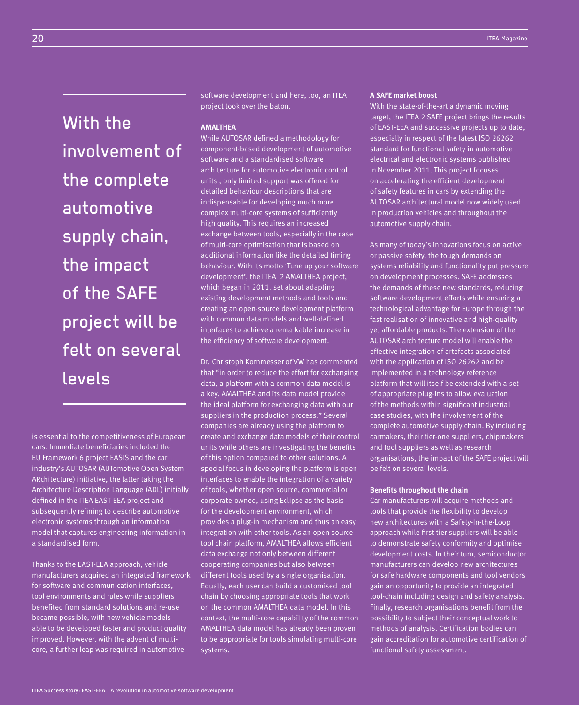With the involvement of the complete automotive supply chain, the impact of the SAFE project will be felt on several levels

is essential to the competitiveness of European cars. Immediate beneficiaries included the EU Framework 6 project EASIS and the car industry's AUTOSAR (AUTomotive Open System ARchitecture) initiative, the latter taking the Architecture Description Language (ADL) initially defined in the ITEA EAST-EEA project and subsequently refining to describe automotive electronic systems through an information model that captures engineering information in a standardised form.

Thanks to the EAST-EEA approach, vehicle manufacturers acquired an integrated framework for software and communication interfaces, tool environments and rules while suppliers benefited from standard solutions and re-use became possible, with new vehicle models able to be developed faster and product quality improved. However, with the advent of multicore, a further leap was required in automotive

software development and here, too, an ITEA project took over the baton.

# **AMALTHEA**

While AUTOSAR defined a methodology for component-based development of automotive software and a standardised software architecture for automotive electronic control units , only limited support was offered for detailed behaviour descriptions that are indispensable for developing much more complex multi-core systems of sufficiently high quality. This requires an increased exchange between tools, especially in the case of multi-core optimisation that is based on additional information like the detailed timing behaviour. With its motto 'Tune up your software development', the ITEA 2 AMALTHEA project, which began in 2011, set about adapting existing development methods and tools and creating an open-source development platform with common data models and well-defined interfaces to achieve a remarkable increase in the efficiency of software development.

Dr. Christoph Kornmesser of VW has commented that "in order to reduce the effort for exchanging data, a platform with a common data model is a key. AMALTHEA and its data model provide the ideal platform for exchanging data with our suppliers in the production process." Several companies are already using the platform to create and exchange data models of their control units while others are investigating the benefits of this option compared to other solutions. A special focus in developing the platform is open interfaces to enable the integration of a variety of tools, whether open source, commercial or corporate-owned, using Eclipse as the basis for the development environment, which provides a plug-in mechanism and thus an easy integration with other tools. As an open source tool chain platform, AMALTHEA allows efficient data exchange not only between different cooperating companies but also between different tools used by a single organisation. Equally, each user can build a customised tool chain by choosing appropriate tools that work on the common AMALTHEA data model. In this context, the multi-core capability of the common AMALTHEA data model has already been proven to be appropriate for tools simulating multi-core systems.

### **A SAFE market boost**

With the state-of-the-art a dynamic moving target, the ITEA 2 SAFE project brings the results of EAST-EEA and successive projects up to date, especially in respect of the latest ISO 26262 standard for functional safety in automotive electrical and electronic systems published in November 2011. This project focuses on accelerating the efficient development of safety features in cars by extending the AUTOSAR architectural model now widely used in production vehicles and throughout the automotive supply chain.

As many of today's innovations focus on active or passive safety, the tough demands on systems reliability and functionality put pressure on development processes. SAFE addresses the demands of these new standards, reducing software development efforts while ensuring a technological advantage for Europe through the fast realisation of innovative and high-quality yet affordable products. The extension of the AUTOSAR architecture model will enable the effective integration of artefacts associated with the application of ISO 26262 and be implemented in a technology reference platform that will itself be extended with a set of appropriate plug-ins to allow evaluation of the methods within significant industrial case studies, with the involvement of the complete automotive supply chain. By including carmakers, their tier-one suppliers, chipmakers and tool suppliers as well as research organisations, the impact of the SAFE project will be felt on several levels.

### **Benefits throughout the chain**

Car manufacturers will acquire methods and tools that provide the flexibility to develop new architectures with a Safety-In-the-Loop approach while first tier suppliers will be able to demonstrate safety conformity and optimise development costs. In their turn, semiconductor manufacturers can develop new architectures for safe hardware components and tool vendors gain an opportunity to provide an integrated tool-chain including design and safety analysis. Finally, research organisations benefit from the possibility to subject their conceptual work to methods of analysis. Certification bodies can gain accreditation for automotive certification of functional safety assessment.